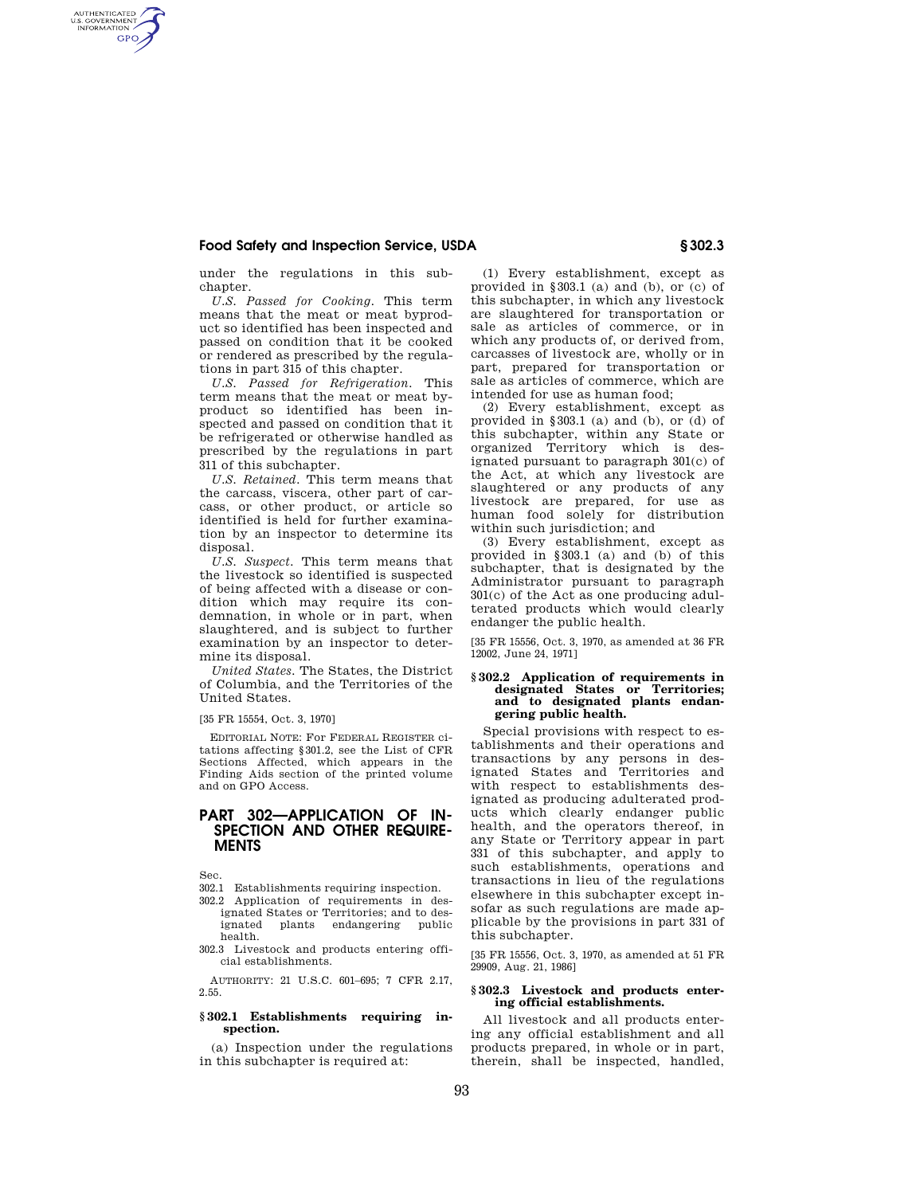### **Food Safety and Inspection Service, USDA § 302.3**

under the regulations in this subchapter.

*U.S. Passed for Cooking.* This term means that the meat or meat byproduct so identified has been inspected and passed on condition that it be cooked or rendered as prescribed by the regulations in part 315 of this chapter.

*U.S. Passed for Refrigeration.* This term means that the meat or meat byproduct so identified has been inspected and passed on condition that it be refrigerated or otherwise handled as prescribed by the regulations in part 311 of this subchapter.

*U.S. Retained.* This term means that the carcass, viscera, other part of carcass, or other product, or article so identified is held for further examination by an inspector to determine its disposal.

*U.S. Suspect.* This term means that the livestock so identified is suspected of being affected with a disease or condition which may require its condemnation, in whole or in part, when slaughtered, and is subject to further examination by an inspector to determine its disposal.

*United States.* The States, the District of Columbia, and the Territories of the United States.

### [35 FR 15554, Oct. 3, 1970]

EDITORIAL NOTE: For FEDERAL REGISTER citations affecting §301.2, see the List of CFR Sections Affected, which appears in the Finding Aids section of the printed volume and on GPO Access.

# **PART 302—APPLICATION OF IN-SPECTION AND OTHER REQUIRE-MENTS**

Sec.

AUTHENTICATED<br>U.S. GOVERNMENT<br>INFORMATION **GPO** 

- 302.1 Establishments requiring inspection.
- 302.2 Application of requirements in designated States or Territories; and to designated plants endangering public health.
- 302.3 Livestock and products entering official establishments.

AUTHORITY: 21 U.S.C. 601–695; 7 CFR 2.17, 2.55.

### **§ 302.1 Establishments requiring inspection.**

(a) Inspection under the regulations in this subchapter is required at:

(1) Every establishment, except as provided in §303.1 (a) and (b), or (c) of this subchapter, in which any livestock are slaughtered for transportation or sale as articles of commerce, or in which any products of, or derived from, carcasses of livestock are, wholly or in part, prepared for transportation or sale as articles of commerce, which are intended for use as human food;

(2) Every establishment, except as provided in §303.1 (a) and (b), or (d) of this subchapter, within any State or organized Territory which is designated pursuant to paragraph 301(c) of the Act, at which any livestock are slaughtered or any products of any livestock are prepared, for use as human food solely for distribution within such jurisdiction; and

(3) Every establishment, except as provided in §303.1 (a) and (b) of this subchapter, that is designated by the Administrator pursuant to paragraph 301(c) of the Act as one producing adulterated products which would clearly endanger the public health.

[35 FR 15556, Oct. 3, 1970, as amended at 36 FR 12002, June 24, 1971]

#### **§ 302.2 Application of requirements in designated States or Territories; and to designated plants endangering public health.**

Special provisions with respect to establishments and their operations and transactions by any persons in designated States and Territories and with respect to establishments designated as producing adulterated products which clearly endanger public health, and the operators thereof, in any State or Territory appear in part 331 of this subchapter, and apply to such establishments, operations and transactions in lieu of the regulations elsewhere in this subchapter except insofar as such regulations are made applicable by the provisions in part 331 of this subchapter.

[35 FR 15556, Oct. 3, 1970, as amended at 51 FR 29909, Aug. 21, 1986]

#### **§ 302.3 Livestock and products entering official establishments.**

All livestock and all products entering any official establishment and all products prepared, in whole or in part, therein, shall be inspected, handled,